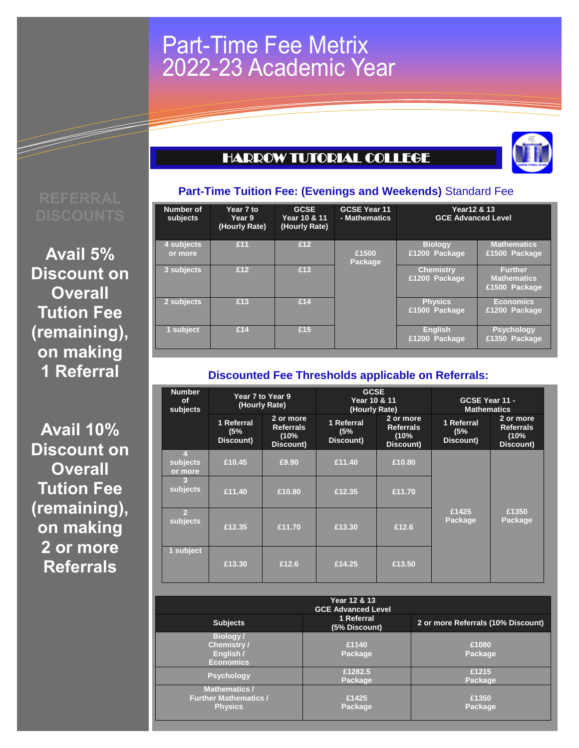## Part-Time Fee Metrix 2022-23 Academic Year

## HARROW TUTORIAL COLLEGE



# **Part-Time Tuition Fee: (Evenings and Weekends)** Standard Fee

**Avail 5% Discount on Overall Tution Fee (remaining), on making 1 Referral**

**Avail 10% Discount on Overall Tution Fee (remaining), on making 2 or more Referrals**

| Number of<br>subjects | Year 7 to<br>Year 9<br>(Hourly Rate) | <b>GCSE</b><br>Year 10 & 11<br>(Hourly Rate) | <b>GCSE Year 11</b><br>- Mathematics | Year12 & 13<br><b>GCE Advanced Level</b> |                                                       |
|-----------------------|--------------------------------------|----------------------------------------------|--------------------------------------|------------------------------------------|-------------------------------------------------------|
| 4 subjects            | £11                                  | £12                                          |                                      | <b>Biology</b>                           | <b>Mathematics</b>                                    |
| or more               |                                      |                                              | £1500<br>Package                     | £1200 Package                            | £1500 Package                                         |
| 3 subjects            | £12                                  | £13                                          |                                      | <b>Chemistry</b><br>£1200 Package        | <b>Further</b><br><b>Mathematics</b><br>£1500 Package |
| 2 subjects            | £13                                  | £14                                          |                                      | <b>Physics</b><br>£1500 Package          | <b>Economics</b><br>£1200 Package                     |
| 1 subject             | £14                                  | £15                                          |                                      | <b>English</b><br>£1200 Package          | <b>Psychology</b><br>£1350 Package                    |

### **Discounted Fee Thresholds applicable on Referrals:**

| <b>Number</b><br><b>of</b><br>subjects | Year 7 to Year 9<br>(Hourly Rate) |                                                    | <b>GCSE</b><br>Year 10 & 11<br>(Hourly Rate) |                                                    | GCSE Year 11 -<br><b>Mathematics</b> |                                                    |
|----------------------------------------|-----------------------------------|----------------------------------------------------|----------------------------------------------|----------------------------------------------------|--------------------------------------|----------------------------------------------------|
|                                        | 1 Referral<br>(5%<br>Discount)    | 2 or more<br><b>Referrals</b><br>(10%<br>Discount) | 1 Referral<br>(5%<br>Discount)               | 2 or more<br><b>Referrals</b><br>(10%<br>Discount) | 1 Referral<br>(5%<br>Discount)       | 2 or more<br><b>Referrals</b><br>(10%<br>Discount) |
| $\overline{4}$<br>subjects<br>or more  | £10.45                            | £9.90                                              | £11.40                                       | £10.80                                             |                                      |                                                    |
| $\overline{3}$<br>subjects             | £11.40                            | £10.80                                             | £12.35                                       | £11.70                                             |                                      |                                                    |
| $\overline{2}$<br>subjects             | £12.35                            | £11.70                                             | £13.30                                       | £12.6                                              | £1425<br>Package                     | £1350<br>Package                                   |
| 1 subject                              | £13.30                            | £12.6                                              | £14.25                                       | £13.50                                             |                                      |                                                    |

|                                                                        | Year 12 & 13<br><b>GCE Advanced Level</b> |                                    |
|------------------------------------------------------------------------|-------------------------------------------|------------------------------------|
| <b>Subjects</b>                                                        | 1 Referral<br>(5% Discount)               | 2 or more Referrals (10% Discount) |
| <b>Biology/</b><br><b>Chemistry/</b><br>English /<br><b>Economics</b>  | £1140<br>Package                          | £1080<br>Package                   |
| <b>Psychology</b>                                                      | £1282.5<br>Package                        | £1215<br>Package                   |
| <b>Mathematics /</b><br><b>Further Mathematics /</b><br><b>Physics</b> | £1425<br>Package                          | £1350<br>Package                   |